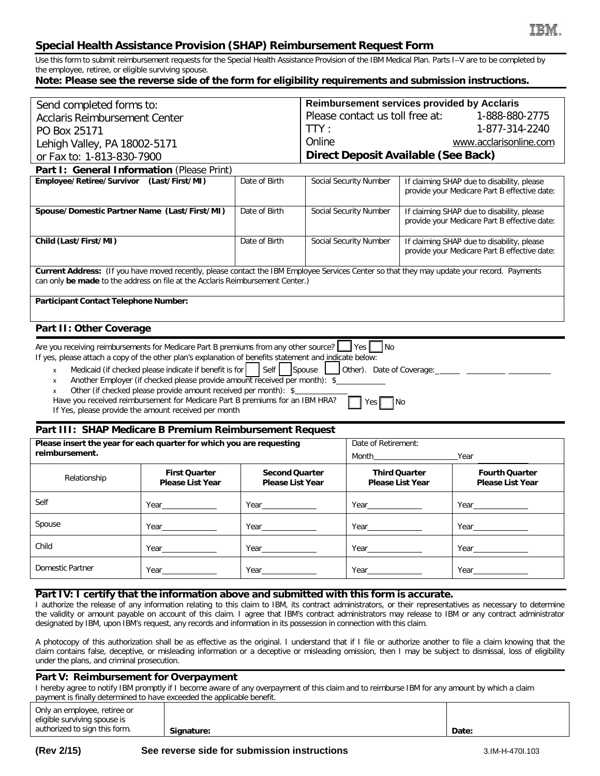# **Special Health Assistance Provision (SHAP) Reimbursement Request Form**

Use this form to submit reimbursement requests for the Special Health Assistance Provision of the IBM Medical Plan. Parts I–V are to be completed by the employee, retiree, or eligible surviving spouse.

## **Note: Please see the reverse side of the form for eligibility requirements and submission instructions.**

|                                                                                                                                                                                                                                                                                                                                                                                                                                                                                                                                                                                                                                                                                            |                                                 | <b>Reimbursement services provided by Acclaris</b> |                                                   |                               |                                                                                            |                                                                                            |  |
|--------------------------------------------------------------------------------------------------------------------------------------------------------------------------------------------------------------------------------------------------------------------------------------------------------------------------------------------------------------------------------------------------------------------------------------------------------------------------------------------------------------------------------------------------------------------------------------------------------------------------------------------------------------------------------------------|-------------------------------------------------|----------------------------------------------------|---------------------------------------------------|-------------------------------|--------------------------------------------------------------------------------------------|--------------------------------------------------------------------------------------------|--|
| Send completed forms to:<br><b>Acclaris Reimbursement Center</b>                                                                                                                                                                                                                                                                                                                                                                                                                                                                                                                                                                                                                           |                                                 |                                                    | Please contact us toll free at:<br>1-888-880-2775 |                               |                                                                                            |                                                                                            |  |
| PO Box 25171                                                                                                                                                                                                                                                                                                                                                                                                                                                                                                                                                                                                                                                                               |                                                 |                                                    | TTY:                                              | 1-877-314-2240                |                                                                                            |                                                                                            |  |
| Lehigh Valley, PA 18002-5171                                                                                                                                                                                                                                                                                                                                                                                                                                                                                                                                                                                                                                                               |                                                 |                                                    | Online<br>www.acclarisonline.com                  |                               |                                                                                            |                                                                                            |  |
| or Fax to: 1-813-830-7900                                                                                                                                                                                                                                                                                                                                                                                                                                                                                                                                                                                                                                                                  |                                                 |                                                    | <b>Direct Deposit Available (See Back)</b>        |                               |                                                                                            |                                                                                            |  |
| Part I: General Information (Please Print)                                                                                                                                                                                                                                                                                                                                                                                                                                                                                                                                                                                                                                                 |                                                 |                                                    |                                                   |                               |                                                                                            |                                                                                            |  |
| Employee/Retiree/Survivor (Last/First/MI)                                                                                                                                                                                                                                                                                                                                                                                                                                                                                                                                                                                                                                                  |                                                 | Date of Birth                                      |                                                   | <b>Social Security Number</b> |                                                                                            | If claiming SHAP due to disability, please                                                 |  |
|                                                                                                                                                                                                                                                                                                                                                                                                                                                                                                                                                                                                                                                                                            |                                                 |                                                    |                                                   |                               |                                                                                            | provide your Medicare Part B effective date:                                               |  |
| Spouse/Domestic Partner Name (Last/First/MI)                                                                                                                                                                                                                                                                                                                                                                                                                                                                                                                                                                                                                                               |                                                 | Date of Birth                                      | <b>Social Security Number</b>                     |                               | If claiming SHAP due to disability, please<br>provide your Medicare Part B effective date: |                                                                                            |  |
| Child (Last/First/MI)                                                                                                                                                                                                                                                                                                                                                                                                                                                                                                                                                                                                                                                                      |                                                 | Date of Birth                                      |                                                   | Social Security Number        |                                                                                            | If claiming SHAP due to disability, please<br>provide your Medicare Part B effective date: |  |
| Current Address: (If you have moved recently, please contact the IBM Employee Services Center so that they may update your record. Payments<br>can only be made to the address on file at the Acclaris Reimbursement Center.)                                                                                                                                                                                                                                                                                                                                                                                                                                                              |                                                 |                                                    |                                                   |                               |                                                                                            |                                                                                            |  |
| Participant Contact Telephone Number:                                                                                                                                                                                                                                                                                                                                                                                                                                                                                                                                                                                                                                                      |                                                 |                                                    |                                                   |                               |                                                                                            |                                                                                            |  |
| Part II: Other Coverage                                                                                                                                                                                                                                                                                                                                                                                                                                                                                                                                                                                                                                                                    |                                                 |                                                    |                                                   |                               |                                                                                            |                                                                                            |  |
| Are you receiving reimbursements for Medicare Part B premiums from any other source? See P<br><b>I</b> No<br>If yes, please attach a copy of the other plan's explanation of benefits statement and indicate below:<br>Medicaid (if checked please indicate if benefit is for   Self<br>Spouse<br>Other). Date of Coverage: ________ ___________ ______<br>$\mathsf{x}$<br>Another Employer (if checked please provide amount received per month): \$<br>x<br>Other (if checked please provide amount received per month): \$<br>X<br>Have you received reimbursement for Medicare Part B premiums for an IBM HRA?<br>Yes  <br>∥No<br>If Yes, please provide the amount received per month |                                                 |                                                    |                                                   |                               |                                                                                            |                                                                                            |  |
| Part III: SHAP Medicare B Premium Reimbursement Request                                                                                                                                                                                                                                                                                                                                                                                                                                                                                                                                                                                                                                    |                                                 |                                                    |                                                   |                               |                                                                                            |                                                                                            |  |
| Please insert the year for each quarter for which you are requesting<br>reimbursement.                                                                                                                                                                                                                                                                                                                                                                                                                                                                                                                                                                                                     |                                                 |                                                    |                                                   | Date of Retirement:           |                                                                                            |                                                                                            |  |
|                                                                                                                                                                                                                                                                                                                                                                                                                                                                                                                                                                                                                                                                                            |                                                 |                                                    |                                                   | Month <b>Month</b>            |                                                                                            | Year                                                                                       |  |
| Relationship                                                                                                                                                                                                                                                                                                                                                                                                                                                                                                                                                                                                                                                                               | <b>First Quarter</b><br><b>Please List Year</b> | <b>Second Quarter</b><br><b>Please List Year</b>   |                                                   |                               | <b>Third Quarter</b><br><b>Please List Year</b>                                            | <b>Fourth Quarter</b><br><b>Please List Year</b>                                           |  |
| Self                                                                                                                                                                                                                                                                                                                                                                                                                                                                                                                                                                                                                                                                                       | Year                                            | Year                                               |                                                   | Year                          |                                                                                            |                                                                                            |  |
| Spouse                                                                                                                                                                                                                                                                                                                                                                                                                                                                                                                                                                                                                                                                                     | Year                                            |                                                    |                                                   |                               |                                                                                            |                                                                                            |  |
|                                                                                                                                                                                                                                                                                                                                                                                                                                                                                                                                                                                                                                                                                            |                                                 |                                                    |                                                   |                               |                                                                                            |                                                                                            |  |
| Child                                                                                                                                                                                                                                                                                                                                                                                                                                                                                                                                                                                                                                                                                      | Year                                            | Year                                               |                                                   | Year                          |                                                                                            | Year                                                                                       |  |

## **Part IV: I certify that the information above and submitted with this form is accurate.**

I authorize the release of any information relating to this claim to IBM, its contract administrators, or their representatives as necessary to determine the validity or amount payable on account of this claim. I agree that IBM's contract administrators may release to IBM or any contract administrator designated by IBM, upon IBM's request, any records and information in its possession in connection with this claim.

A photocopy of this authorization shall be as effective as the original. I understand that if I file or authorize another to file a claim knowing that the claim contains false, deceptive, or misleading information or a deceptive or misleading omission, then I may be subject to dismissal, loss of eligibility under the plans, and criminal prosecution.

## **Part V: Reimbursement for Overpayment**

I hereby agree to notify IBM promptly if I become aware of any overpayment of this claim and to reimburse IBM for any amount by which a claim payment is finally determined to have exceeded the applicable benefit.

| Only an employee, retiree or<br>eligible surviving spouse is |            |       |
|--------------------------------------------------------------|------------|-------|
| authorized to sign this form.                                | Signature: | Date: |